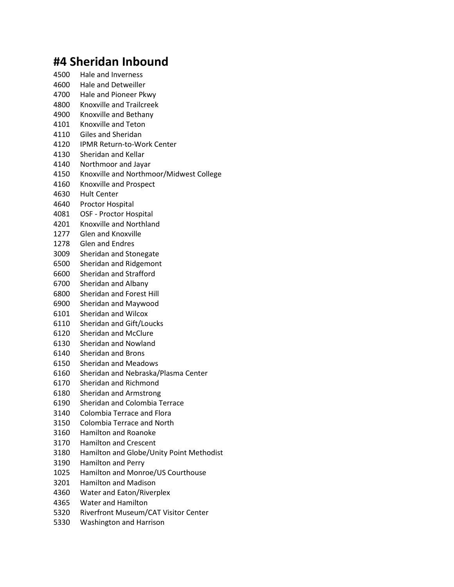## **#4 Sheridan Inbound**

- Hale and Inverness Hale and Detweiller Hale and Pioneer Pkwy Knoxville and Trailcreek Knoxville and Bethany Knoxville and Teton Giles and Sheridan IPMR Return-to-Work Center Sheridan and Kellar Northmoor and Jayar Knoxville and Northmoor/Midwest College Knoxville and Prospect Hult Center Proctor Hospital OSF - Proctor Hospital Knoxville and Northland Glen and Knoxville Glen and Endres Sheridan and Stonegate Sheridan and Ridgemont Sheridan and Strafford Sheridan and Albany Sheridan and Forest Hill Sheridan and Maywood Sheridan and Wilcox Sheridan and Gift/Loucks Sheridan and McClure
- Sheridan and Nowland
- 
- Sheridan and Brons
- Sheridan and Meadows
- Sheridan and Nebraska/Plasma Center
- Sheridan and Richmond
- Sheridan and Armstrong
- Sheridan and Colombia Terrace
- Colombia Terrace and Flora
- Colombia Terrace and North
- Hamilton and Roanoke
- Hamilton and Crescent
- Hamilton and Globe/Unity Point Methodist
- Hamilton and Perry
- Hamilton and Monroe/US Courthouse
- Hamilton and Madison
- Water and Eaton/Riverplex
- Water and Hamilton
- Riverfront Museum/CAT Visitor Center
- Washington and Harrison